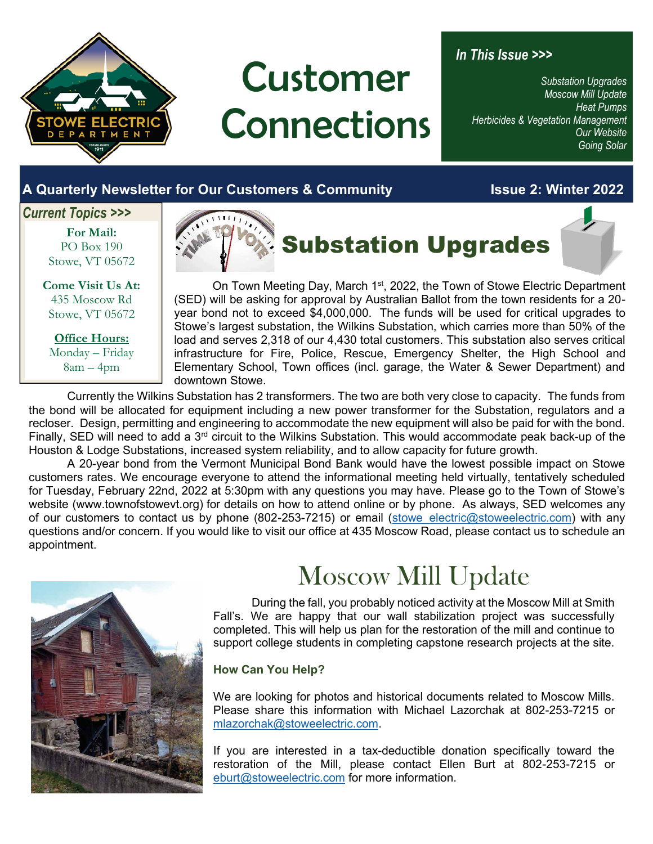

# Customer **Connections**

### *In This Issue >>>*

*Substation Upgrades Moscow Mill Update Heat Pumps Herbicides & Vegetation Management Our Website Going Solar* 

### **A Quarterly Newsletter for Our Customers & Community Issue 2: Winter 2022**

### *Current Topics >>>*

**For Mail:**  PO Box 190 Stowe, VT 05672

**Come Visit Us At:**  435 Moscow Rd Stowe, VT 05672

**Office Hours:**  Monday – Friday 8am – 4pm



On Town Meeting Day, March 1<sup>st</sup>, 2022, the Town of Stowe Electric Department (SED) will be asking for approval by Australian Ballot from the town residents for a 20 year bond not to exceed \$4,000,000. The funds will be used for critical upgrades to Stowe's largest substation, the Wilkins Substation, which carries more than 50% of the load and serves 2,318 of our 4,430 total customers. This substation also serves critical infrastructure for Fire, Police, Rescue, Emergency Shelter, the High School and Elementary School, Town offices (incl. garage, the Water & Sewer Department) and downtown Stowe.

Currently the Wilkins Substation has 2 transformers. The two are both very close to capacity. The funds from the bond will be allocated for equipment including a new power transformer for the Substation, regulators and a recloser. Design, permitting and engineering to accommodate the new equipment will also be paid for with the bond. Finally, SED will need to add a 3rd circuit to the Wilkins Substation. This would accommodate peak back-up of the Houston & Lodge Substations, increased system reliability, and to allow capacity for future growth.

A 20-year bond from the Vermont Municipal Bond Bank would have the lowest possible impact on Stowe customers rates. We encourage everyone to attend the informational meeting held virtually, tentatively scheduled for Tuesday, February 22nd, 2022 at 5:30pm with any questions you may have. Please go to the Town of Stowe's website (www.townofstowevt.org) for details on how to attend online or by phone. As always, SED welcomes any of our customers to contact us by phone (802-253-7215) or email (stowe electric@stoweelectric.com) with any questions and/or concern. If you would like to visit our office at 435 Moscow Road, please contact us to schedule an appointment.



## Moscow Mill Update

During the fall, you probably noticed activity at the Moscow Mill at Smith Fall's. We are happy that our wall stabilization project was successfully completed. This will help us plan for the restoration of the mill and continue to support college students in completing capstone research projects at the site.

### **How Can You Help?**

We are looking for photos and historical documents related to Moscow Mills. Please share this information with Michael Lazorchak at 802-253-7215 or mlazorchak@stoweelectric.com.

If you are interested in a tax-deductible donation specifically toward the restoration of the Mill, please contact Ellen Burt at 802-253-7215 or eburt@stoweelectric.com for more information.